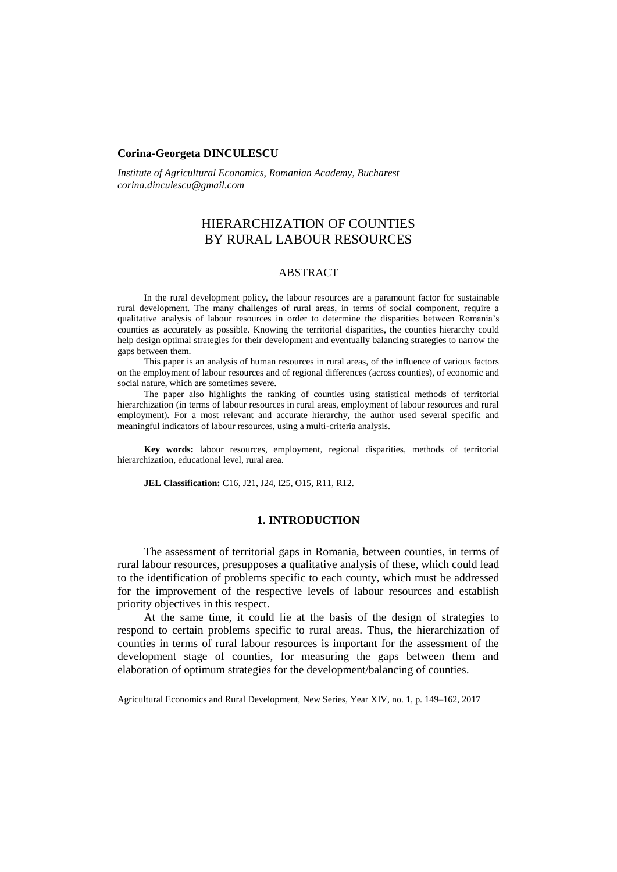### **Corina-Georgeta DINCULESCU**

*Institute of Agricultural Economics, Romanian Academy, Bucharest [corina.dinculescu@gmail.com](mailto:corina.dinculescu@gmail.com)*

# HIERARCHIZATION OF COUNTIES BY RURAL LABOUR RESOURCES

#### ABSTRACT

In the rural development policy, the labour resources are a paramount factor for sustainable rural development. The many challenges of rural areas, in terms of social component, require a qualitative analysis of labour resources in order to determine the disparities between Romania's counties as accurately as possible. Knowing the territorial disparities, the counties hierarchy could help design optimal strategies for their development and eventually balancing strategies to narrow the gaps between them.

This paper is an analysis of human resources in rural areas, of the influence of various factors on the employment of labour resources and of regional differences (across counties), of economic and social nature, which are sometimes severe.

The paper also highlights the ranking of counties using statistical methods of territorial hierarchization (in terms of labour resources in rural areas, employment of labour resources and rural employment). For a most relevant and accurate hierarchy, the author used several specific and meaningful indicators of labour resources, using a multi-criteria analysis.

**Key words:** labour resources, employment, regional disparities, methods of territorial hierarchization, educational level, rural area.

**JEL Classification:** C16, J21, J24, I25, O15, R11, R12.

#### **1. INTRODUCTION**

The assessment of territorial gaps in Romania, between counties, in terms of rural labour resources, presupposes a qualitative analysis of these, which could lead to the identification of problems specific to each county, which must be addressed for the improvement of the respective levels of labour resources and establish priority objectives in this respect.

At the same time, it could lie at the basis of the design of strategies to respond to certain problems specific to rural areas. Thus, the hierarchization of counties in terms of rural labour resources is important for the assessment of the development stage of counties, for measuring the gaps between them and elaboration of optimum strategies for the development/balancing of counties.

Agricultural Economics and Rural Development, New Series, Year XIV, no. 1, p. 149–162, 2017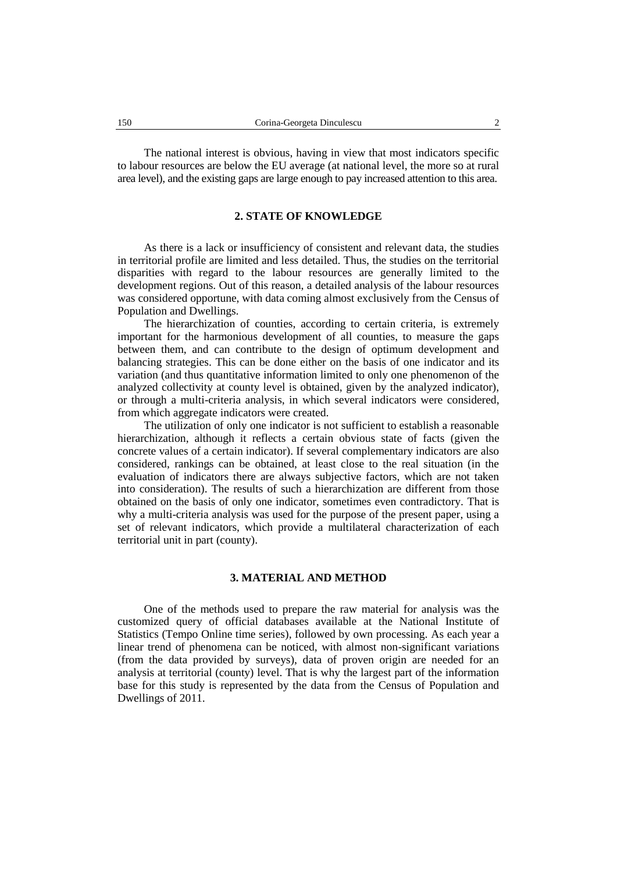The national interest is obvious, having in view that most indicators specific to labour resources are below the EU average (at national level, the more so at rural area level), and the existing gaps are large enough to pay increased attention to this area.

# **2. STATE OF KNOWLEDGE**

As there is a lack or insufficiency of consistent and relevant data, the studies in territorial profile are limited and less detailed. Thus, the studies on the territorial disparities with regard to the labour resources are generally limited to the development regions. Out of this reason, a detailed analysis of the labour resources was considered opportune, with data coming almost exclusively from the Census of Population and Dwellings.

The hierarchization of counties, according to certain criteria, is extremely important for the harmonious development of all counties, to measure the gaps between them, and can contribute to the design of optimum development and balancing strategies. This can be done either on the basis of one indicator and its variation (and thus quantitative information limited to only one phenomenon of the analyzed collectivity at county level is obtained, given by the analyzed indicator), or through a multi-criteria analysis, in which several indicators were considered, from which aggregate indicators were created.

The utilization of only one indicator is not sufficient to establish a reasonable hierarchization, although it reflects a certain obvious state of facts (given the concrete values of a certain indicator). If several complementary indicators are also considered, rankings can be obtained, at least close to the real situation (in the evaluation of indicators there are always subjective factors, which are not taken into consideration). The results of such a hierarchization are different from those obtained on the basis of only one indicator, sometimes even contradictory. That is why a multi-criteria analysis was used for the purpose of the present paper, using a set of relevant indicators, which provide a multilateral characterization of each territorial unit in part (county).

#### **3. MATERIAL AND METHOD**

One of the methods used to prepare the raw material for analysis was the customized query of official databases available at the National Institute of Statistics (Tempo Online time series), followed by own processing. As each year a linear trend of phenomena can be noticed, with almost non-significant variations (from the data provided by surveys), data of proven origin are needed for an analysis at territorial (county) level. That is why the largest part of the information base for this study is represented by the data from the Census of Population and Dwellings of 2011.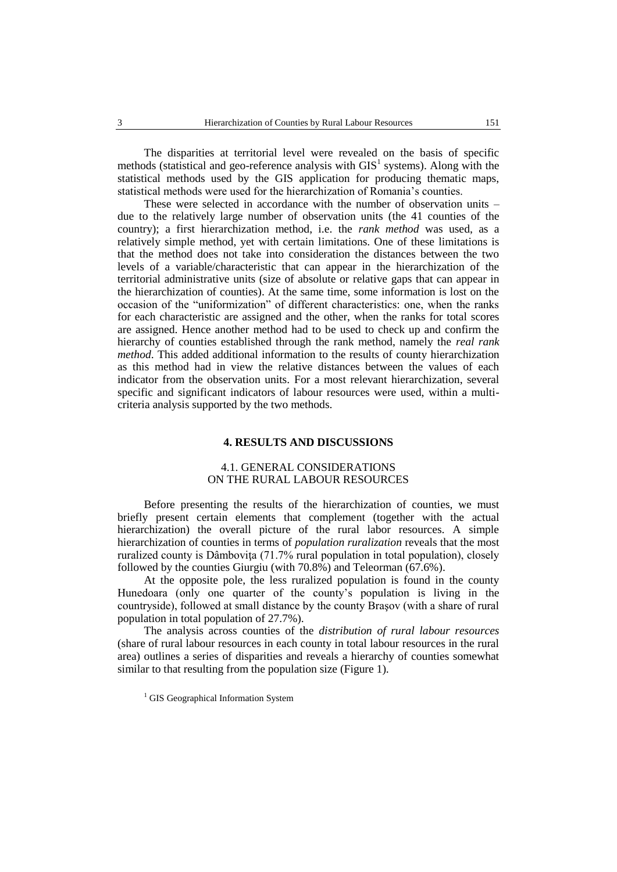The disparities at territorial level were revealed on the basis of specific methods (statistical and geo-reference analysis with  $GIS<sup>1</sup>$  systems). Along with the statistical methods used by the GIS application for producing thematic maps, statistical methods were used for the hierarchization of Romania's counties.

These were selected in accordance with the number of observation units – due to the relatively large number of observation units (the 41 counties of the country); a first hierarchization method, i.e. the *rank method* was used, as a relatively simple method, yet with certain limitations. One of these limitations is that the method does not take into consideration the distances between the two levels of a variable/characteristic that can appear in the hierarchization of the territorial administrative units (size of absolute or relative gaps that can appear in the hierarchization of counties). At the same time, some information is lost on the occasion of the "uniformization" of different characteristics: one, when the ranks for each characteristic are assigned and the other, when the ranks for total scores are assigned. Hence another method had to be used to check up and confirm the hierarchy of counties established through the rank method, namely the *real rank method*. This added additional information to the results of county hierarchization as this method had in view the relative distances between the values of each indicator from the observation units. For a most relevant hierarchization, several specific and significant indicators of labour resources were used, within a multicriteria analysis supported by the two methods.

#### **4. RESULTS AND DISCUSSIONS**

## 4.1. GENERAL CONSIDERATIONS ON THE RURAL LABOUR RESOURCES

Before presenting the results of the hierarchization of counties, we must briefly present certain elements that complement (together with the actual hierarchization) the overall picture of the rural labor resources. A simple hierarchization of counties in terms of *population ruralization* reveals that the most ruralized county is Dâmbovita (71.7% rural population in total population), closely followed by the counties Giurgiu (with 70.8%) and Teleorman (67.6%).

At the opposite pole, the less ruralized population is found in the county Hunedoara (only one quarter of the county's population is living in the countryside), followed at small distance by the county Braşov (with a share of rural population in total population of 27.7%).

The analysis across counties of the *distribution of rural labour resources*  (share of rural labour resources in each county in total labour resources in the rural area) outlines a series of disparities and reveals a hierarchy of counties somewhat similar to that resulting from the population size (Figure 1).

<sup>&</sup>lt;sup>1</sup> GIS Geographical Information System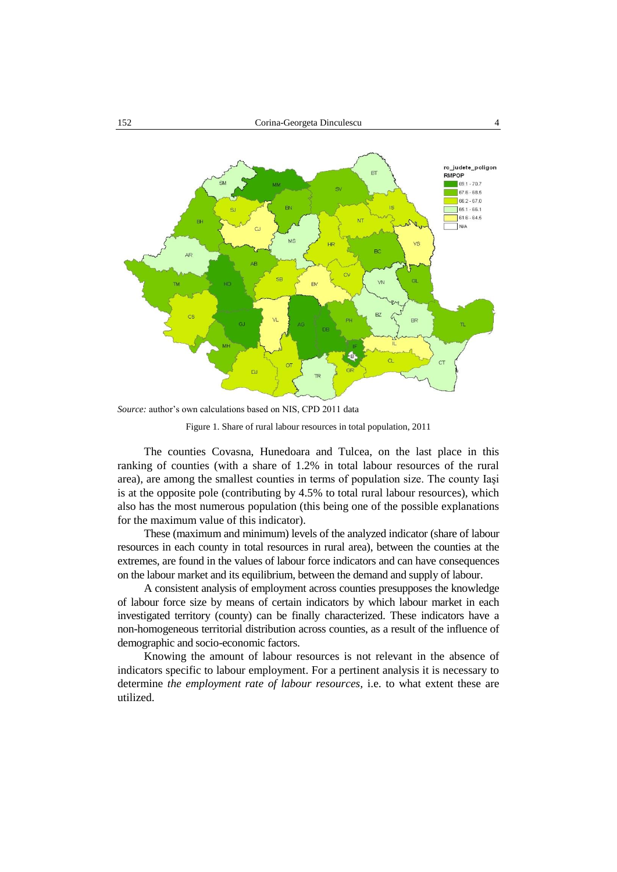

*Source:* author's own calculations based on NIS, CPD 2011 data

Figure 1. Share of rural labour resources in total population, 2011

The counties Covasna, Hunedoara and Tulcea, on the last place in this ranking of counties (with a share of 1.2% in total labour resources of the rural area), are among the smallest counties in terms of population size. The county Iaşi is at the opposite pole (contributing by 4.5% to total rural labour resources), which also has the most numerous population (this being one of the possible explanations for the maximum value of this indicator).

These (maximum and minimum) levels of the analyzed indicator (share of labour resources in each county in total resources in rural area), between the counties at the extremes, are found in the values of labour force indicators and can have consequences on the labour market and its equilibrium, between the demand and supply of labour.

A consistent analysis of employment across counties presupposes the knowledge of labour force size by means of certain indicators by which labour market in each investigated territory (county) can be finally characterized. These indicators have a non-homogeneous territorial distribution across counties, as a result of the influence of demographic and socio-economic factors.

Knowing the amount of labour resources is not relevant in the absence of indicators specific to labour employment. For a pertinent analysis it is necessary to determine *the employment rate of labour resources,* i.e. to what extent these are utilized.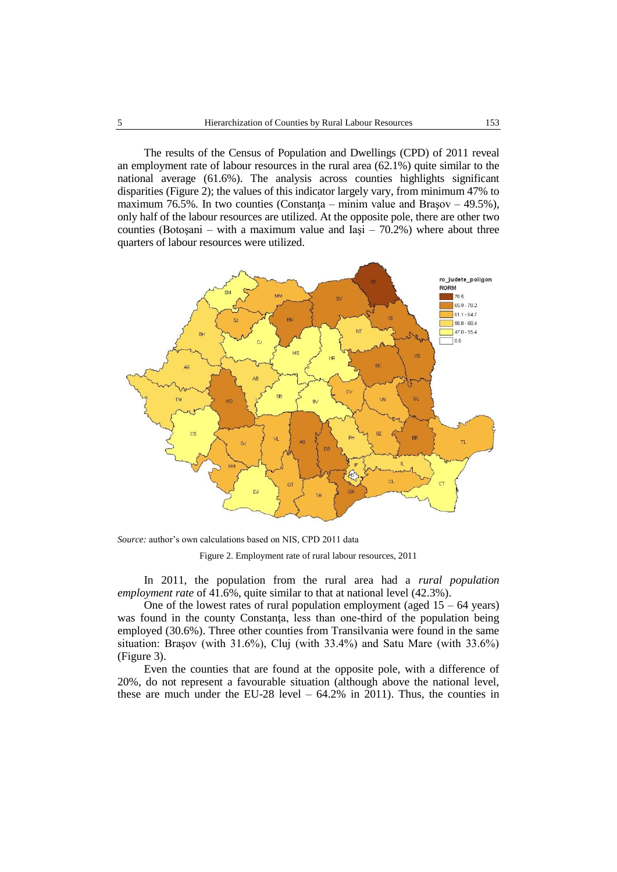The results of the Census of Population and Dwellings (CPD) of 2011 reveal an employment rate of labour resources in the rural area  $(62.1\%)$  quite similar to the national average (61.6%). The analysis across counties highlights significant disparities (Figure 2); the values of this indicator largely vary, from minimum 47% to maximum 76.5%. In two counties (Constanta – minim value and Brasov – 49.5%), only half of the labour resources are utilized. At the opposite pole, there are other two counties (Botoșani – with a maximum value and Iași –  $70.2\%$ ) where about three quarters of labour resources were utilized.



*Source:* author's own calculations based on NIS, CPD 2011 data

Figure 2. Employment rate of rural labour resources, 2011

In 2011, the population from the rural area had a *rural population employment rate* of 41.6%, quite similar to that at national level (42.3%).

One of the lowest rates of rural population employment (aged  $15 - 64$  years) was found in the county Constanta, less than one-third of the population being employed (30.6%). Three other counties from Transilvania were found in the same situation: Braşov (with 31.6%), Cluj (with 33.4%) and Satu Mare (with 33.6%) (Figure 3).

Even the counties that are found at the opposite pole, with a difference of 20%, do not represent a favourable situation (although above the national level, these are much under the EU-28 level  $-64.2\%$  in 2011). Thus, the counties in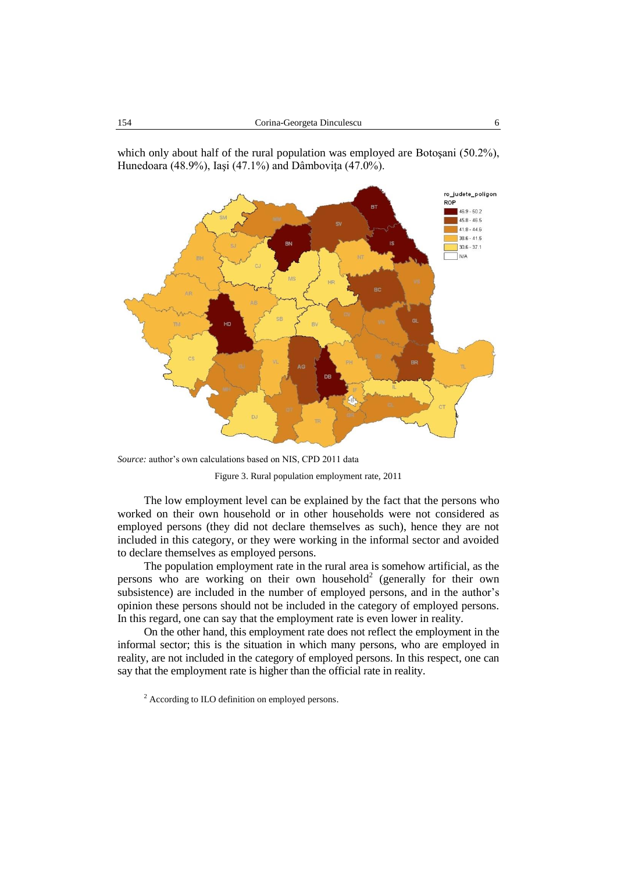

which only about half of the rural population was employed are Botoşani (50.2%), Hunedoara (48.9%), Iasi (47.1%) and Dâmbovita (47.0%).

*Source:* author's own calculations based on NIS, CPD 2011 data

Figure 3. Rural population employment rate, 2011

The low employment level can be explained by the fact that the persons who worked on their own household or in other households were not considered as employed persons (they did not declare themselves as such), hence they are not included in this category, or they were working in the informal sector and avoided to declare themselves as employed persons.

The population employment rate in the rural area is somehow artificial, as the persons who are working on their own household<sup>2</sup> (generally for their own subsistence) are included in the number of employed persons, and in the author's opinion these persons should not be included in the category of employed persons. In this regard, one can say that the employment rate is even lower in reality.

On the other hand, this employment rate does not reflect the employment in the informal sector; this is the situation in which many persons, who are employed in reality, are not included in the category of employed persons. In this respect, one can say that the employment rate is higher than the official rate in reality.

<sup>2</sup> According to ILO definition on employed persons.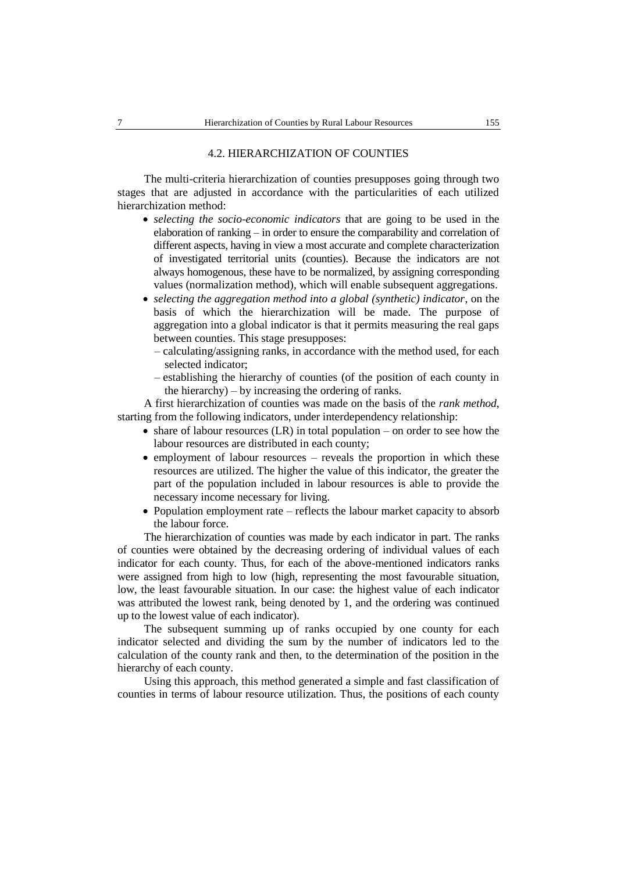#### 4.2. HIERARCHIZATION OF COUNTIES

The multi-criteria hierarchization of counties presupposes going through two stages that are adjusted in accordance with the particularities of each utilized hierarchization method:

- *selecting the socio-economic indicators* that are going to be used in the elaboration of ranking – in order to ensure the comparability and correlation of different aspects, having in view a most accurate and complete characterization of investigated territorial units (counties). Because the indicators are not always homogenous, these have to be normalized, by assigning corresponding values (normalization method), which will enable subsequent aggregations.
- *selecting the aggregation method into a global (synthetic) indicator*, on the basis of which the hierarchization will be made. The purpose of aggregation into a global indicator is that it permits measuring the real gaps between counties. This stage presupposes:
	- calculating/assigning ranks, in accordance with the method used, for each selected indicator;
	- establishing the hierarchy of counties (of the position of each county in the hierarchy) – by increasing the ordering of ranks.

A first hierarchization of counties was made on the basis of the *rank method*, starting from the following indicators, under interdependency relationship:

- share of labour resources  $(LR)$  in total population on order to see how the labour resources are distributed in each county;
- employment of labour resources reveals the proportion in which these resources are utilized. The higher the value of this indicator, the greater the part of the population included in labour resources is able to provide the necessary income necessary for living.
- Population employment rate reflects the labour market capacity to absorb the labour force.

The hierarchization of counties was made by each indicator in part. The ranks of counties were obtained by the decreasing ordering of individual values of each indicator for each county. Thus, for each of the above-mentioned indicators ranks were assigned from high to low (high, representing the most favourable situation, low, the least favourable situation. In our case: the highest value of each indicator was attributed the lowest rank, being denoted by 1, and the ordering was continued up to the lowest value of each indicator).

The subsequent summing up of ranks occupied by one county for each indicator selected and dividing the sum by the number of indicators led to the calculation of the county rank and then, to the determination of the position in the hierarchy of each county.

Using this approach, this method generated a simple and fast classification of counties in terms of labour resource utilization. Thus, the positions of each county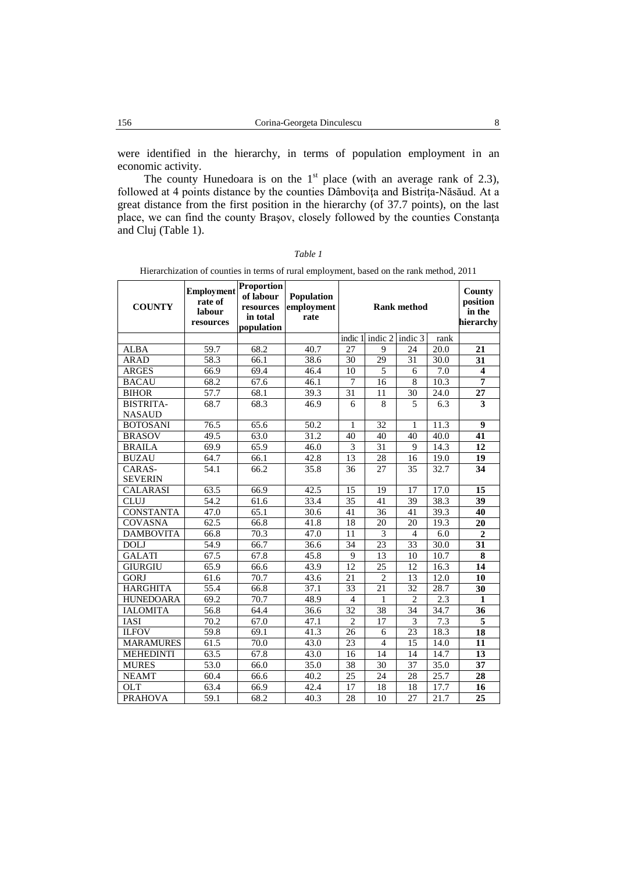were identified in the hierarchy, in terms of population employment in an economic activity.

The county Hunedoara is on the  $1<sup>st</sup>$  place (with an average rank of 2.3), followed at 4 points distance by the counties Dâmboviţa and Bistriţa-Năsăud. At a great distance from the first position in the hierarchy (of 37.7 points), on the last place, we can find the county Braşov, closely followed by the counties Constanţa and Cluj (Table 1).

| ani |  |
|-----|--|
|-----|--|

Hierarchization of counties in terms of rural employment, based on the rank method, 2011

| <b>COUNTY</b>    | <b>Employment</b><br>rate of<br>labour<br>resources | <b>Proportion</b><br>of labour<br>resources<br>in total<br>population | Population<br>employment<br>rate |                 | County<br>position<br>in the<br>hierarchy |                 |      |                         |
|------------------|-----------------------------------------------------|-----------------------------------------------------------------------|----------------------------------|-----------------|-------------------------------------------|-----------------|------|-------------------------|
|                  |                                                     |                                                                       |                                  |                 | indic 1 indic 2                           | indic 3         | rank |                         |
| <b>ALBA</b>      | 59.7                                                | 68.2                                                                  | 40.7                             | 27              | 9                                         | 24              | 20.0 | 21                      |
| <b>ARAD</b>      | 58.3                                                | 66.1                                                                  | 38.6                             | 30              | 29                                        | $\overline{31}$ | 30.0 | 31                      |
| <b>ARGES</b>     | 66.9                                                | 69.4                                                                  | 46.4                             | 10              | 5                                         | 6               | 7.0  | $\overline{\mathbf{4}}$ |
| <b>BACAU</b>     | 68.2                                                | 67.6                                                                  | 46.1                             | 7               | 16                                        | 8               | 10.3 | $\overline{7}$          |
| <b>BIHOR</b>     | 57.7                                                | 68.1                                                                  | 39.3                             | 31              | 11                                        | 30              | 24.0 | 27                      |
| <b>BISTRITA-</b> | 68.7                                                | 68.3                                                                  | 46.9                             | 6               | $\overline{8}$                            | 5               | 6.3  | $\overline{\mathbf{3}}$ |
| <b>NASAUD</b>    |                                                     |                                                                       |                                  |                 |                                           |                 |      |                         |
| <b>BOTOSANI</b>  | 76.5                                                | 65.6                                                                  | 50.2                             | 1               | 32                                        | 1               | 11.3 | $\boldsymbol{9}$        |
| <b>BRASOV</b>    | 49.5                                                | 63.0                                                                  | 31.2                             | 40              | 40                                        | 40              | 40.0 | 41                      |
| <b>BRAILA</b>    | 69.9                                                | 65.9                                                                  | 46.0                             | 3               | $\overline{31}$                           | 9               | 14.3 | 12                      |
| <b>BUZAU</b>     | 64.7                                                | 66.1                                                                  | 42.8                             | 13              | $\overline{28}$                           | 16              | 19.0 | 19                      |
| CARAS-           | 54.1                                                | 66.2                                                                  | 35.8                             | 36              | 27                                        | 35              | 32.7 | 34                      |
| <b>SEVERIN</b>   |                                                     |                                                                       |                                  |                 |                                           |                 |      |                         |
| <b>CALARASI</b>  | 63.5                                                | 66.9                                                                  | 42.5                             | 15              | 19                                        | 17              | 17.0 | 15                      |
| <b>CLUJ</b>      | 54.2                                                | 61.6                                                                  | 33.4                             | $\overline{35}$ | 41                                        | 39              | 38.3 | 39                      |
| <b>CONSTANTA</b> | 47.0                                                | 65.1                                                                  | 30.6                             | 41              | $\overline{36}$                           | 41              | 39.3 | 40                      |
| <b>COVASNA</b>   | 62.5                                                | 66.8                                                                  | 41.8                             | 18              | 20                                        | 20              | 19.3 | 20                      |
| <b>DAMBOVITA</b> | 66.8                                                | 70.3                                                                  | 47.0                             | 11              | 3                                         | $\overline{4}$  | 6.0  | $\overline{2}$          |
| <b>DOLJ</b>      | 54.9                                                | 66.7                                                                  | 36.6                             | $\overline{34}$ | $\overline{23}$                           | 33              | 30.0 | 31                      |
| <b>GALATI</b>    | 67.5                                                | 67.8                                                                  | 45.8                             | 9               | 13                                        | 10              | 10.7 | 8                       |
| <b>GIURGIU</b>   | 65.9                                                | 66.6                                                                  | 43.9                             | 12              | $\overline{25}$                           | 12              | 16.3 | 14                      |
| <b>GORJ</b>      | 61.6                                                | 70.7                                                                  | 43.6                             | 21              | $\overline{2}$                            | 13              | 12.0 | 10                      |
| <b>HARGHITA</b>  | 55.4                                                | 66.8                                                                  | 37.1                             | 33              | 21                                        | 32              | 28.7 | 30                      |
| <b>HUNEDOARA</b> | 69.2                                                | 70.7                                                                  | 48.9                             | $\overline{4}$  | 1                                         | $\overline{2}$  | 2.3  | 1                       |
| <b>IALOMITA</b>  | 56.8                                                | 64.4                                                                  | 36.6                             | 32              | 38                                        | 34              | 34.7 | 36                      |
| <b>IASI</b>      | $\overline{70.2}$                                   | 67.0                                                                  | 47.1                             | $\overline{2}$  | $\overline{17}$                           | $\overline{3}$  | 7.3  | $\overline{\mathbf{5}}$ |
| <b>ILFOV</b>     | 59.8                                                | 69.1                                                                  | 41.3                             | 26              | 6                                         | 23              | 18.3 | 18                      |
| <b>MARAMURES</b> | 61.5                                                | 70.0                                                                  | 43.0                             | 23              | $\overline{4}$                            | 15              | 14.0 | 11                      |
| <b>MEHEDINTI</b> | 63.5                                                | 67.8                                                                  | 43.0                             | 16              | 14                                        | 14              | 14.7 | 13                      |
| <b>MURES</b>     | 53.0                                                | 66.0                                                                  | 35.0                             | $\overline{38}$ | $\overline{30}$                           | $\overline{37}$ | 35.0 | $\overline{37}$         |
| <b>NEAMT</b>     | 60.4                                                | 66.6                                                                  | 40.2                             | 25              | 24                                        | 28              | 25.7 | 28                      |
| <b>OLT</b>       | 63.4                                                | 66.9                                                                  | 42.4                             | 17              | 18                                        | 18              | 17.7 | 16                      |
| <b>PRAHOVA</b>   | 59.1                                                | 68.2                                                                  | 40.3                             | 28              | 10                                        | 27              | 21.7 | 25                      |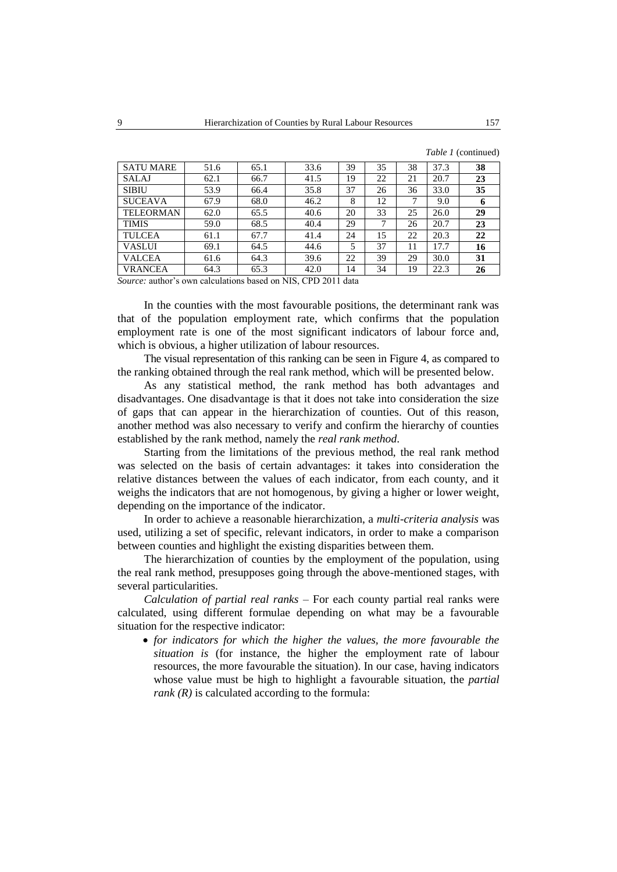|                                                                      |      |      |      |    |    |    |      | <i>Table 1</i> (continued) |  |  |
|----------------------------------------------------------------------|------|------|------|----|----|----|------|----------------------------|--|--|
| <b>SATU MARE</b>                                                     | 51.6 | 65.1 | 33.6 | 39 | 35 | 38 | 37.3 | 38                         |  |  |
| <b>SALAJ</b>                                                         | 62.1 | 66.7 | 41.5 | 19 | 22 | 21 | 20.7 | 23                         |  |  |
| <b>SIBIU</b>                                                         | 53.9 | 66.4 | 35.8 | 37 | 26 | 36 | 33.0 | 35                         |  |  |
| <b>SUCEAVA</b>                                                       | 67.9 | 68.0 | 46.2 | 8  | 12 | 7  | 9.0  | 6                          |  |  |
| TELEORMAN                                                            | 62.0 | 65.5 | 40.6 | 20 | 33 | 25 | 26.0 | 29                         |  |  |
| <b>TIMIS</b>                                                         | 59.0 | 68.5 | 40.4 | 29 | 7  | 26 | 20.7 | 23                         |  |  |
| <b>TULCEA</b>                                                        | 61.1 | 67.7 | 41.4 | 24 | 15 | 22 | 20.3 | 22                         |  |  |
| <b>VASLUI</b>                                                        | 69.1 | 64.5 | 44.6 | 5  | 37 | 11 | 17.7 | 16                         |  |  |
| <b>VALCEA</b>                                                        | 61.6 | 64.3 | 39.6 | 22 | 39 | 29 | 30.0 | 31                         |  |  |
| <b>VRANCEA</b>                                                       | 64.3 | 65.3 | 42.0 | 14 | 34 | 19 | 22.3 | 26                         |  |  |
| <i>Source:</i> author's own calculations based on NIS, CPD 2011 data |      |      |      |    |    |    |      |                            |  |  |

In the counties with the most favourable positions, the determinant rank was that of the population employment rate, which confirms that the population employment rate is one of the most significant indicators of labour force and, which is obvious, a higher utilization of labour resources.

The visual representation of this ranking can be seen in Figure 4, as compared to the ranking obtained through the real rank method, which will be presented below.

As any statistical method, the rank method has both advantages and disadvantages. One disadvantage is that it does not take into consideration the size of gaps that can appear in the hierarchization of counties. Out of this reason, another method was also necessary to verify and confirm the hierarchy of counties established by the rank method, namely the *real rank method*.

Starting from the limitations of the previous method, the real rank method was selected on the basis of certain advantages: it takes into consideration the relative distances between the values of each indicator, from each county, and it weighs the indicators that are not homogenous, by giving a higher or lower weight, depending on the importance of the indicator.

In order to achieve a reasonable hierarchization, a *multi-criteria analysis* was used, utilizing a set of specific, relevant indicators, in order to make a comparison between counties and highlight the existing disparities between them.

The hierarchization of counties by the employment of the population, using the real rank method, presupposes going through the above-mentioned stages, with several particularities.

*Calculation of partial real ranks –* For each county partial real ranks were calculated, using different formulae depending on what may be a favourable situation for the respective indicator:

 *for indicators for which the higher the values, the more favourable the situation is* (for instance, the higher the employment rate of labour resources, the more favourable the situation). In our case, having indicators whose value must be high to highlight a favourable situation, the *partial rank (R)* is calculated according to the formula: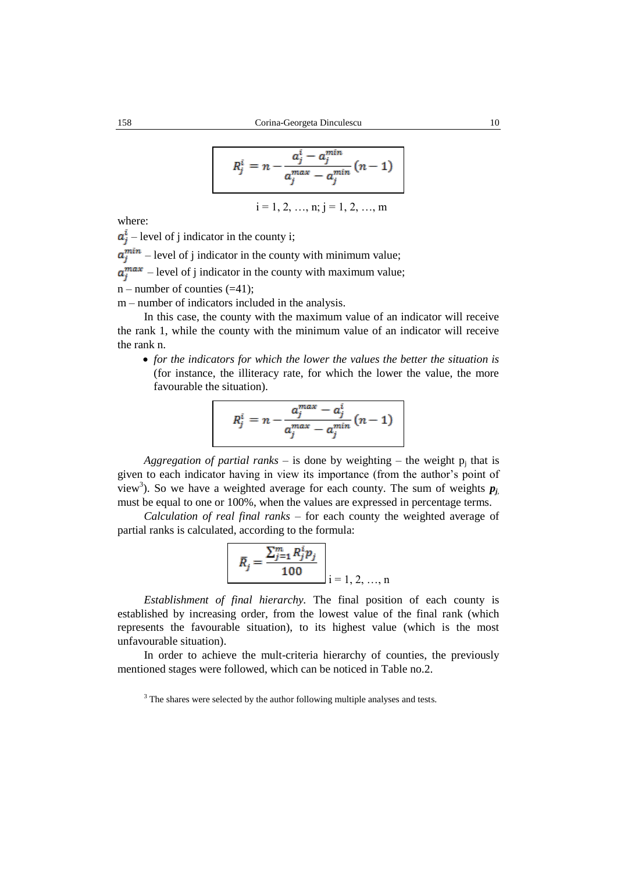$$
R_j^i = n - \frac{a_j^i - a_j^{min}}{a_j^{max} - a_j^{min}} (n - 1)
$$
  
i = 1, 2, ..., n; j = 1, 2, ..., m

where:

 $a_i^i$  – level of j indicator in the county i;

 $a_i^{min}$  – level of j indicator in the county with minimum value;

 $a_i^{max}$  – level of j indicator in the county with maximum value;

 $n$  – number of counties (=41);

m – number of indicators included in the analysis.

In this case, the county with the maximum value of an indicator will receive the rank 1, while the county with the minimum value of an indicator will receive the rank n.

 *for the indicators for which the lower the values the better the situation is*  (for instance, the illiteracy rate, for which the lower the value, the more favourable the situation).

$$
R_j^i = n - \frac{a_j^{max} - a_j^i}{a_j^{max} - a_j^{min}} (n-1)
$$

*Aggregation of partial ranks*  $-$  is done by weighting  $-$  the weight  $p_j$  that is given to each indicator having in view its importance (from the author's point of view<sup>3</sup>). So we have a weighted average for each county. The sum of weights  $p_j$ must be equal to one or 100%, when the values are expressed in percentage terms.

*Calculation of real final ranks* – for each county the weighted average of partial ranks is calculated, according to the formula:

$$
\overline{R}_{j} = \frac{\sum_{j=1}^{m} R_{j}^{i} p_{j}}{100}
$$
\n $i = 1, 2, ..., n$ 

*Establishment of final hierarchy.* The final position of each county is established by increasing order, from the lowest value of the final rank (which represents the favourable situation), to its highest value (which is the most unfavourable situation).

In order to achieve the mult-criteria hierarchy of counties, the previously mentioned stages were followed, which can be noticed in Table no.2.

<sup>&</sup>lt;sup>3</sup> The shares were selected by the author following multiple analyses and tests.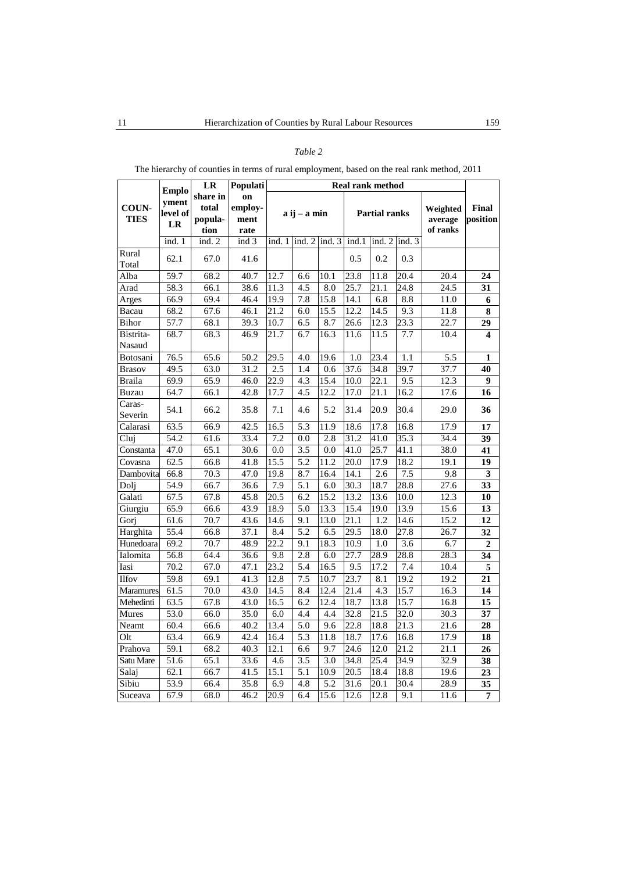### *Table 2*

|                      | LR<br>Populati<br><b>Real rank method</b> |                                      |                               |        |                                         |                  |                   |                                 |                   |                  |                         |
|----------------------|-------------------------------------------|--------------------------------------|-------------------------------|--------|-----------------------------------------|------------------|-------------------|---------------------------------|-------------------|------------------|-------------------------|
| COUN-<br><b>TIES</b> | <b>Emplo</b><br>yment<br>level of<br>LR   | share in<br>total<br>popula-<br>tion | on<br>employ-<br>ment<br>rate |        | $a$ ij $-a$ min<br><b>Partial ranks</b> |                  |                   | Weighted<br>average<br>of ranks | Final<br>position |                  |                         |
|                      | ind. 1                                    | ind. 2                               | ind 3                         | ind. 1 | ind. 2                                  | ind.3            | ind.1             | ind. 2                          | ind. 3            |                  |                         |
| Rural<br>Total       | 62.1                                      | 67.0                                 | 41.6                          |        |                                         |                  | 0.5               | 0.2                             | 0.3               |                  |                         |
| Alba                 | 59.7                                      | 68.2                                 | 40.7                          | 12.7   | 6.6                                     | 10.1             | 23.8              | 11.8                            | 20.4              | 20.4             | 24                      |
| Arad                 | 58.3                                      | 66.1                                 | 38.6                          | 11.3   | 4.5                                     | 8.0              | 25.7              | $\overline{21.1}$               | 24.8              | 24.5             | 31                      |
| Arges                | 66.9                                      | 69.4                                 | 46.4                          | 19.9   | 7.8                                     | 15.8             | 14.1              | 6.8                             | 8.8               | 11.0             | 6                       |
| Bacau                | 68.2                                      | 67.6                                 | 46.1                          | 21.2   | 6.0                                     | 15.5             | 12.2              | 14.5                            | 9.3               | 11.8             | 8                       |
| Bihor                | 57.7                                      | 68.1                                 | 39.3                          | 10.7   | 6.5                                     | 8.7              | 26.6              | 12.3                            | 23.3              | 22.7             | 29                      |
| Bistrita-<br>Nasaud  | 68.7                                      | 68.3                                 | 46.9                          | 21.7   | 6.7                                     | 16.3             | 11.6              | 11.5                            | 7.7               | 10.4             | $\overline{\mathbf{4}}$ |
| Botosani             | 76.5                                      | 65.6                                 | 50.2                          | 29.5   | 4.0                                     | 19.6             | 1.0               | 23.4                            | 1.1               | $\overline{5.5}$ | 1                       |
| Brasov               | 49.5                                      | 63.0                                 | 31.2                          | 2.5    | 1.4                                     | 0.6              | 37.6              | 34.8                            | 39.7              | 37.7             | 40                      |
| Braila               | 69.9                                      | 65.9                                 | 46.0                          | 22.9   | 4.3                                     | 15.4             | 10.0              | 22.1                            | 9.5               | 12.3             | 9                       |
| Buzau                | 64.7                                      | 66.1                                 | 42.8                          | 17.7   | 4.5                                     | 12.2             | 17.0              | 21.1                            | 16.2              | 17.6             | 16                      |
| Caras-<br>Severin    | 54.1                                      | 66.2                                 | 35.8                          | 7.1    | 4.6                                     | 5.2              | 31.4              | 20.9                            | 30.4              | 29.0             | 36                      |
| Calarasi             | 63.5                                      | 66.9                                 | 42.5                          | 16.5   | 5.3                                     | 11.9             | 18.6              | 17.8                            | 16.8              | 17.9             | $\overline{17}$         |
| Cluj                 | 54.2                                      | 61.6                                 | 33.4                          | 7.2    | 0.0                                     | 2.8              | 31.2              | 41.0                            | 35.3              | 34.4             | 39                      |
| Constanta            | 47.0                                      | 65.1                                 | 30.6                          | 0.0    | 3.5                                     | 0.0              | 41.0              | 25.7                            | 41.1              | 38.0             | 41                      |
| Covasna              | 62.5                                      | 66.8                                 | 41.8                          | 15.5   | 5.2                                     | 11.2             | 20.0              | 17.9                            | 18.2              | 19.1             | 19                      |
| Dambovita            | 66.8                                      | 70.3                                 | 47.0                          | 19.8   | 8.7                                     | 16.4             | 14.1              | 2.6                             | 7.5               | 9.8              | 3                       |
| Dolj                 | 54.9                                      | 66.7                                 | 36.6                          | 7.9    | 5.1                                     | 6.0              | 30.3              | 18.7                            | 28.8              | 27.6             | 33                      |
| Galati               | 67.5                                      | 67.8                                 | 45.8                          | 20.5   | 6.2                                     | 15.2             | 13.2              | 13.6                            | 10.0              | 12.3             | 10                      |
| Giurgiu              | 65.9                                      | 66.6                                 | 43.9                          | 18.9   | 5.0                                     | 13.3             | 15.4              | 19.0                            | 13.9              | 15.6             | 13                      |
| Gori                 | 61.6                                      | 70.7                                 | 43.6                          | 14.6   | 9.1                                     | 13.0             | 21.1              | 1.2                             | 14.6              | 15.2             | 12                      |
| Harghita             | 55.4                                      | 66.8                                 | 37.1                          | 8.4    | 5.2                                     | 6.5              | 29.5              | 18.0                            | $\overline{27.8}$ | 26.7             | $\overline{32}$         |
| Hunedoara            | 69.2                                      | 70.7                                 | 48.9                          | 22.2   | 9.1                                     | 18.3             | 10.9              | 1.0                             | 3.6               | 6.7              | $\boldsymbol{2}$        |
| Ialomita             | 56.8                                      | 64.4                                 | 36.6                          | 9.8    | 2.8                                     | 6.0              | 27.7              | $\overline{28.9}$               | 28.8              | 28.3             | 34                      |
| Iasi                 | 70.2                                      | 67.0                                 | 47.1                          | 23.2   | 5.4                                     | 16.5             | 9.5               | 17.2                            | 7.4               | 10.4             | 5                       |
| <b>Ilfov</b>         | 59.8                                      | 69.1                                 | 41.3                          | 12.8   | 7.5                                     | 10.7             | 23.7              | 8.1                             | 19.2              | 19.2             | 21                      |
| Maramures            | 61.5                                      | 70.0                                 | 43.0                          | 14.5   | 8.4                                     | 12.4             | 21.4              | 4.3                             | 15.7              | 16.3             | 14                      |
| Mehedinti            | 63.5                                      | 67.8                                 | 43.0                          | 16.5   | 6.2                                     | 12.4             | 18.7              | 13.8                            | 15.7              | 16.8             | $\overline{15}$         |
| Mures                | 53.0                                      | 66.0                                 | 35.0                          | 6.0    | 4.4                                     | 4.4              | 32.8              | 21.5                            | 32.0              | 30.3             | 37                      |
| Neamt                | 60.4                                      | 66.6                                 | 40.2                          | 13.4   | 5.0                                     | 9.6              | $\overline{22.8}$ | 18.8                            | 21.3              | 21.6             | 28                      |
| Olt                  | 63.4                                      | 66.9                                 | 42.4                          | 16.4   | 5.3                                     | 11.8             | 18.7              | 17.6                            | 16.8              | 17.9             | 18                      |
| Prahova              | 59.1                                      | 68.2                                 | 40.3                          | 12.1   | 6.6                                     | 9.7              | 24.6              | 12.0                            | 21.2              | 21.1             | 26                      |
| Satu Mare            | $\overline{51.6}$                         | 65.1                                 | 33.6                          | 4.6    | 3.5                                     | 3.0              | 34.8              | 25.4                            | 34.9              | 32.9             | 38                      |
| Salaj                | 62.1                                      | 66.7                                 | 41.5                          | 15.1   | 5.1                                     | 10.9             | 20.5              | 18.4                            | 18.8              | 19.6             | 23                      |
| Sibiu                | 53.9                                      | 66.4                                 | 35.8                          | 6.9    | 4.8                                     | $\overline{5.2}$ | 31.6              | 20.1                            | 30.4              | 28.9             | 35                      |
| Suceava              | 67.9                                      | 68.0                                 | 46.2                          | 20.9   | 6.4                                     | 15.6             | $\overline{12.6}$ | 12.8                            | 9.1               | 11.6             | 7                       |

The hierarchy of counties in terms of rural employment, based on the real rank method, 2011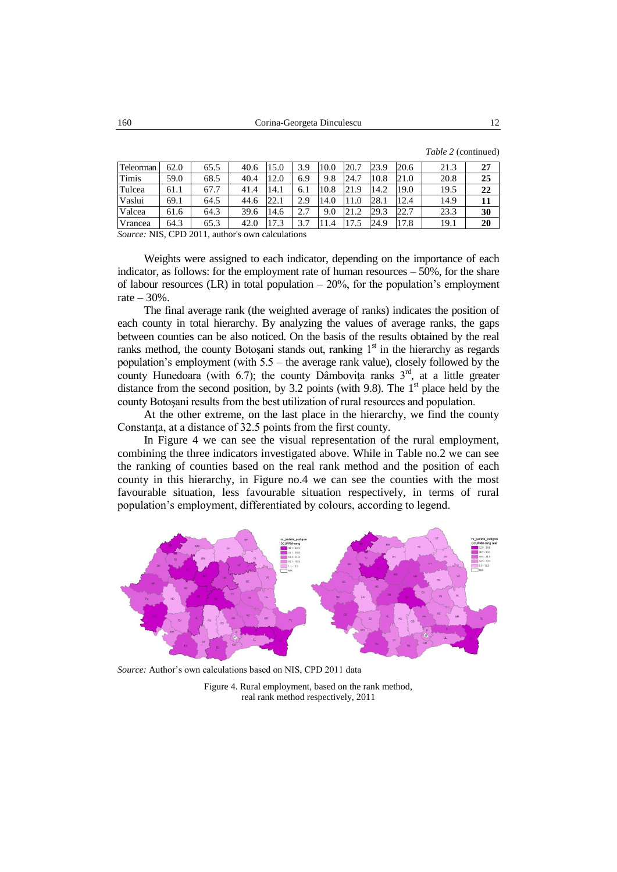| Teleorman | 62.0 | 65.5 | 40.6 |      | 3.9 | 10.0 | 20.7                 | 23.9 | 20.6 | 21.3 | 27 |
|-----------|------|------|------|------|-----|------|----------------------|------|------|------|----|
| Timis     | 59.0 | 68.5 | 40.4 | 12.0 | 6.9 | 9.8  | $\mathbf{r}$<br>24.1 | 10.8 | 21.0 | 20.8 | 25 |
| Tulcea    | 61.1 | 67.7 | 41.4 | 14.1 | 6.1 | 10.8 | 21.9                 | 14.2 | 19.0 | 19.5 | 22 |
| Vaslui    | 69.1 | 64.5 | 44.6 | 22.1 | 2.9 | 14.0 | 1.0                  | 28.1 | 12.4 | 14.9 | 11 |
| Valcea    | 61.6 | 64.3 | 39.6 | 14.6 | 2.7 | 9.0  | 21.2                 | 29.3 | 22.7 | 23.3 | 30 |
| Vrancea   | 64.3 | 65.3 | 42.0 | 17.3 | 3.7 | 11.4 | 17.5                 | 24.9 | 17.8 | 19.1 | 20 |

*Table 2* (continued)

*Source:* NIS, CPD 2011, author's own calculations

Weights were assigned to each indicator, depending on the importance of each indicator, as follows: for the employment rate of human resources – 50%, for the share of labour resources  $(LR)$  in total population – 20%, for the population's employment rate  $-30%$ .

The final average rank (the weighted average of ranks) indicates the position of each county in total hierarchy. By analyzing the values of average ranks, the gaps between counties can be also noticed. On the basis of the results obtained by the real ranks method, the county Botoşani stands out, ranking  $1<sup>st</sup>$  in the hierarchy as regards population's employment (with 5.5 – the average rank value), closely followed by the county Hunedoara (with 6.7); the county Dâmboviţa ranks  $3<sup>rd</sup>$ , at a little greater distance from the second position, by 3.2 points (with 9.8). The  $1<sup>st</sup>$  place held by the county Botoşani results from the best utilization of rural resources and population.

At the other extreme, on the last place in the hierarchy, we find the county Constanţa, at a distance of 32.5 points from the first county.

In Figure 4 we can see the visual representation of the rural employment, combining the three indicators investigated above. While in Table no.2 we can see the ranking of counties based on the real rank method and the position of each county in this hierarchy, in Figure no.4 we can see the counties with the most favourable situation, less favourable situation respectively, in terms of rural population's employment, differentiated by colours, according to legend.



*Source:* Author's own calculations based on NIS, CPD 2011 data

Figure 4. Rural employment, based on the rank method, real rank method respectively, 2011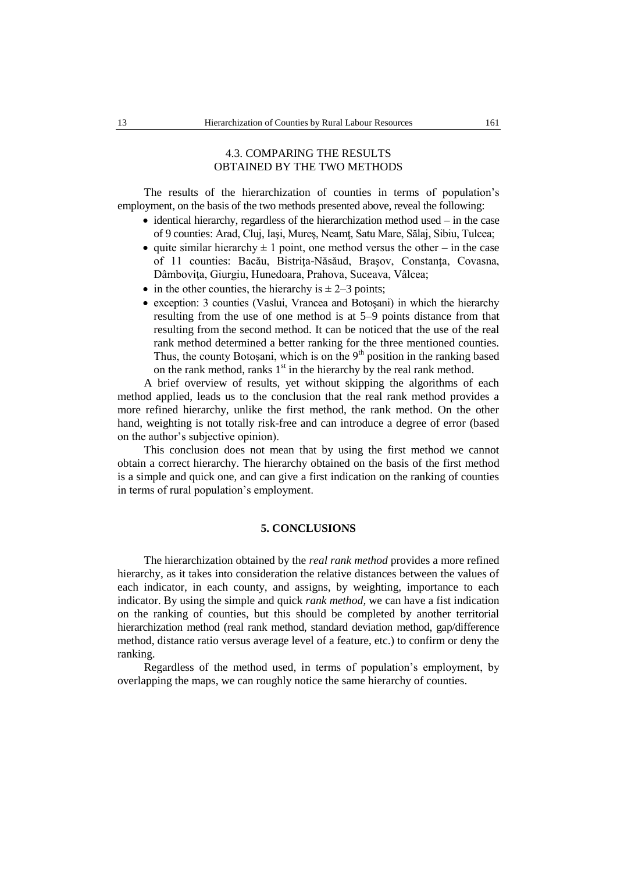# 4.3. COMPARING THE RESULTS OBTAINED BY THE TWO METHODS

The results of the hierarchization of counties in terms of population's employment, on the basis of the two methods presented above, reveal the following:

- $\bullet$  identical hierarchy, regardless of the hierarchization method used in the case of 9 counties: Arad, Cluj, Iaşi, Mureş, Neamţ, Satu Mare, Sălaj, Sibiu, Tulcea;
- quite similar hierarchy  $\pm 1$  point, one method versus the other in the case of 11 counties: Bacău, Bistriţa-Năsăud, Braşov, Constanţa, Covasna, Dâmboviţa, Giurgiu, Hunedoara, Prahova, Suceava, Vâlcea;
- in the other counties, the hierarchy is  $\pm 2-3$  points;
- exception: 3 counties (Vaslui, Vrancea and Botoşani) in which the hierarchy resulting from the use of one method is at 5–9 points distance from that resulting from the second method. It can be noticed that the use of the real rank method determined a better ranking for the three mentioned counties. Thus, the county Botoșani, which is on the  $9<sup>th</sup>$  position in the ranking based on the rank method, ranks  $1<sup>st</sup>$  in the hierarchy by the real rank method.

A brief overview of results, yet without skipping the algorithms of each method applied, leads us to the conclusion that the real rank method provides a more refined hierarchy, unlike the first method, the rank method. On the other hand, weighting is not totally risk-free and can introduce a degree of error (based on the author's subjective opinion).

This conclusion does not mean that by using the first method we cannot obtain a correct hierarchy. The hierarchy obtained on the basis of the first method is a simple and quick one, and can give a first indication on the ranking of counties in terms of rural population's employment.

#### **5. CONCLUSIONS**

The hierarchization obtained by the *real rank method* provides a more refined hierarchy, as it takes into consideration the relative distances between the values of each indicator, in each county, and assigns, by weighting, importance to each indicator. By using the simple and quick *rank method,* we can have a fist indication on the ranking of counties, but this should be completed by another territorial hierarchization method (real rank method, standard deviation method, gap/difference method, distance ratio versus average level of a feature, etc.) to confirm or deny the ranking.

Regardless of the method used, in terms of population's employment, by overlapping the maps, we can roughly notice the same hierarchy of counties.